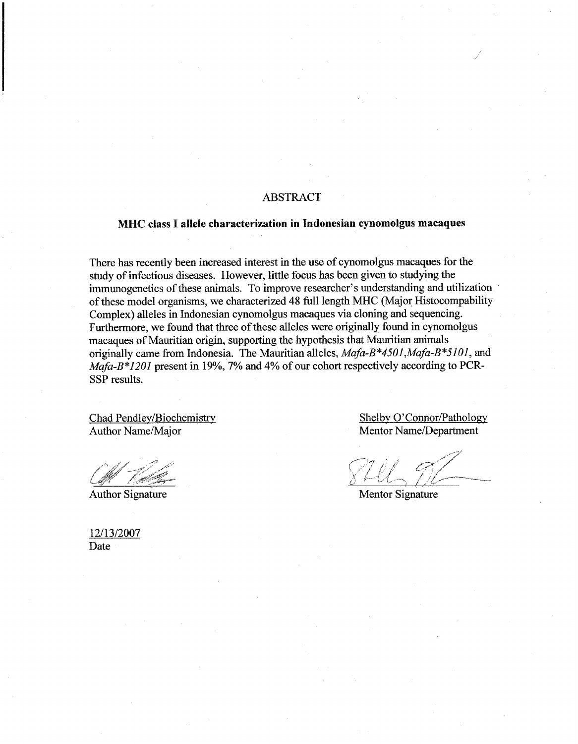### **ABSTRACT**

#### MHC class I allele characterization in Indonesian cynomolgus macaques

There has recently been increased interest in the use of cynomolgus macaques for the study of infectious diseases. However, little focus has been given to studying the immunogenetics of these animals. To improve researcher's understanding and utilization of these model organisms, we characterized 48 full length MHC (Major Histocompability Complex) alleles in Indonesian cynomolgus macaques via cloning and sequencing. Furthermore, we found that three of these alleles were originally found in cynomolgus macaques of Mauritian origin, supporting the hypothesis that Mauritian animals originally came from Indonesia. The Mauritian alleles, Mafa-B\*4501, Mafa-B\*5101, and Mafa-B\*1201 present in 19%, 7% and 4% of our cohort respectively according to PCR-SSP results.

Chad Pendley/Biochemistry Author Name/Major

**Author Signature** 

Shelby O'Connor/Pathology Mentor Name/Department

**Mentor Signature** 

12/13/2007 Date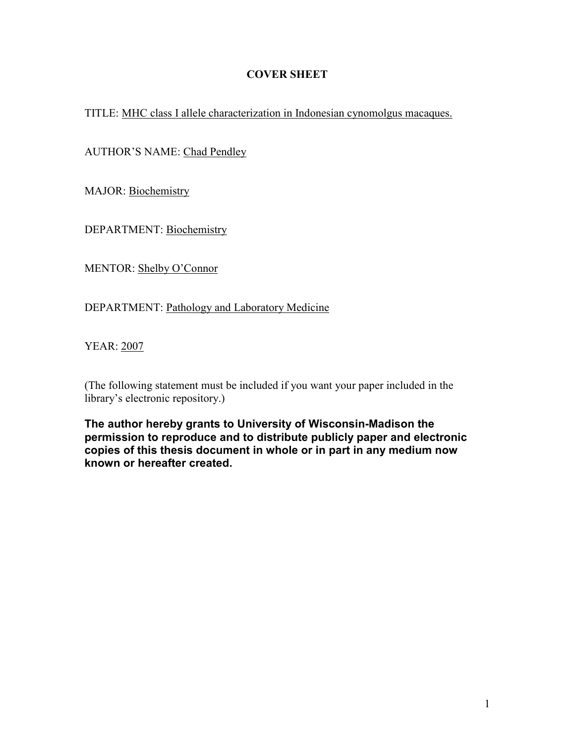# COVER SHEET

TITLE: MHC class I allele characterization in Indonesian cynomolgus macaques.

AUTHOR'S NAME: Chad Pendley

MAJOR: Biochemistry

DEPARTMENT: Biochemistry

MENTOR: Shelby O'Connor

DEPARTMENT: Pathology and Laboratory Medicine

YEAR: 2007

(The following statement must be included if you want your paper included in the library's electronic repository.)

The author hereby grants to University of Wisconsin-Madison the permission to reproduce and to distribute publicly paper and electronic copies of this thesis document in whole or in part in any medium now known or hereafter created.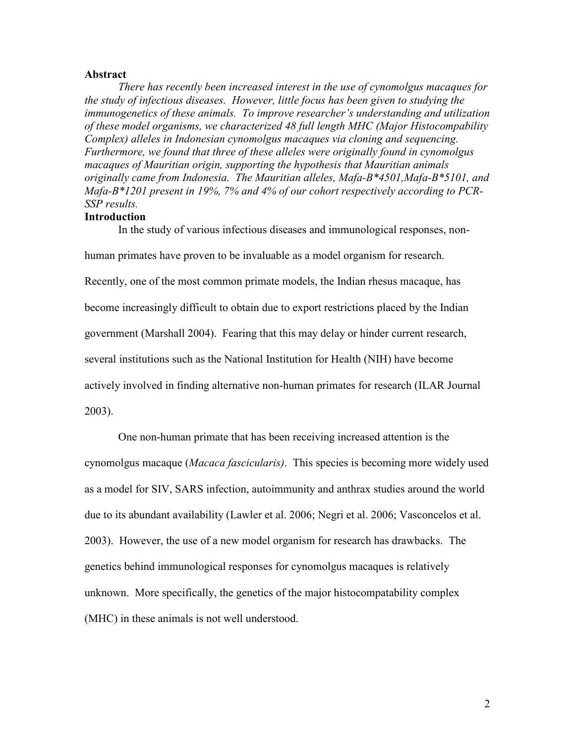### Abstract

There has recently been increased interest in the use of cynomolgus macaques for the study of infectious diseases. However, little focus has been given to studying the immunogenetics of these animals. To improve researcher's understanding and utilization of these model organisms, we characterized 48 full length MHC (Major Histocompability Complex) alleles in Indonesian cynomolgus macaques via cloning and sequencing. Furthermore, we found that three of these alleles were originally found in cynomolgus macaques of Mauritian origin, supporting the hypothesis that Mauritian animals originally came from Indonesia. The Mauritian alleles, Mafa-B\*4501, Mafa-B\*5101, and Mafa-B\*1201 present in 19%, 7% and 4% of our cohort respectively according to PCR-SSP results.

## Introduction

In the study of various infectious diseases and immunological responses, non-

human primates have proven to be invaluable as a model organism for research.

Recently, one of the most common primate models, the Indian rhesus macaque, has

become increasingly difficult to obtain due to export restrictions placed by the Indian

government (Marshall 2004). Fearing that this may delay or hinder current research,

several institutions such as the National Institution for Health (NIH) have become

actively involved in finding alternative non-human primates for research (ILAR Journal

2003).

 One non-human primate that has been receiving increased attention is the cynomolgus macaque (Macaca fascicularis). This species is becoming more widely used as a model for SIV, SARS infection, autoimmunity and anthrax studies around the world due to its abundant availability (Lawler et al. 2006; Negri et al. 2006; Vasconcelos et al. 2003). However, the use of a new model organism for research has drawbacks. The genetics behind immunological responses for cynomolgus macaques is relatively unknown. More specifically, the genetics of the major histocompatability complex (MHC) in these animals is not well understood.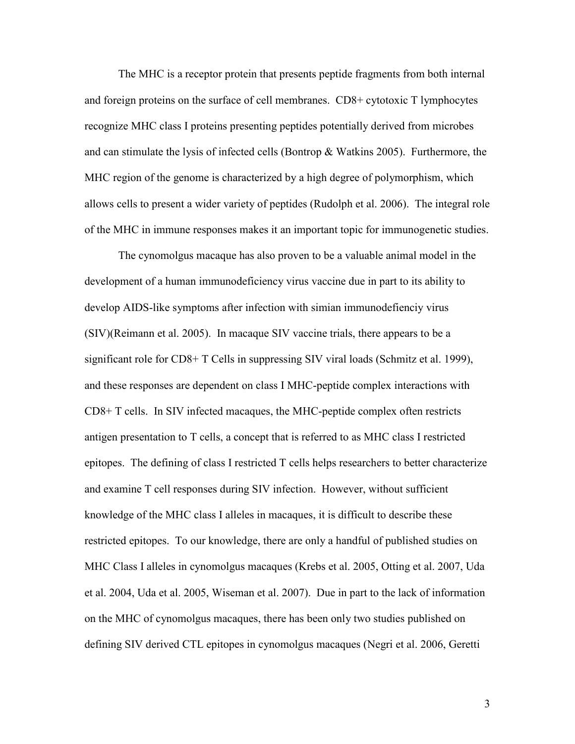The MHC is a receptor protein that presents peptide fragments from both internal and foreign proteins on the surface of cell membranes. CD8+ cytotoxic T lymphocytes recognize MHC class I proteins presenting peptides potentially derived from microbes and can stimulate the lysis of infected cells (Bontrop & Watkins 2005). Furthermore, the MHC region of the genome is characterized by a high degree of polymorphism, which allows cells to present a wider variety of peptides (Rudolph et al. 2006). The integral role of the MHC in immune responses makes it an important topic for immunogenetic studies.

The cynomolgus macaque has also proven to be a valuable animal model in the development of a human immunodeficiency virus vaccine due in part to its ability to develop AIDS-like symptoms after infection with simian immunodefienciy virus (SIV)(Reimann et al. 2005). In macaque SIV vaccine trials, there appears to be a significant role for CD8+ T Cells in suppressing SIV viral loads (Schmitz et al. 1999), and these responses are dependent on class I MHC-peptide complex interactions with CD8+ T cells. In SIV infected macaques, the MHC-peptide complex often restricts antigen presentation to T cells, a concept that is referred to as MHC class I restricted epitopes. The defining of class I restricted T cells helps researchers to better characterize and examine T cell responses during SIV infection. However, without sufficient knowledge of the MHC class I alleles in macaques, it is difficult to describe these restricted epitopes. To our knowledge, there are only a handful of published studies on MHC Class I alleles in cynomolgus macaques (Krebs et al. 2005, Otting et al. 2007, Uda et al. 2004, Uda et al. 2005, Wiseman et al. 2007). Due in part to the lack of information on the MHC of cynomolgus macaques, there has been only two studies published on defining SIV derived CTL epitopes in cynomolgus macaques (Negri et al. 2006, Geretti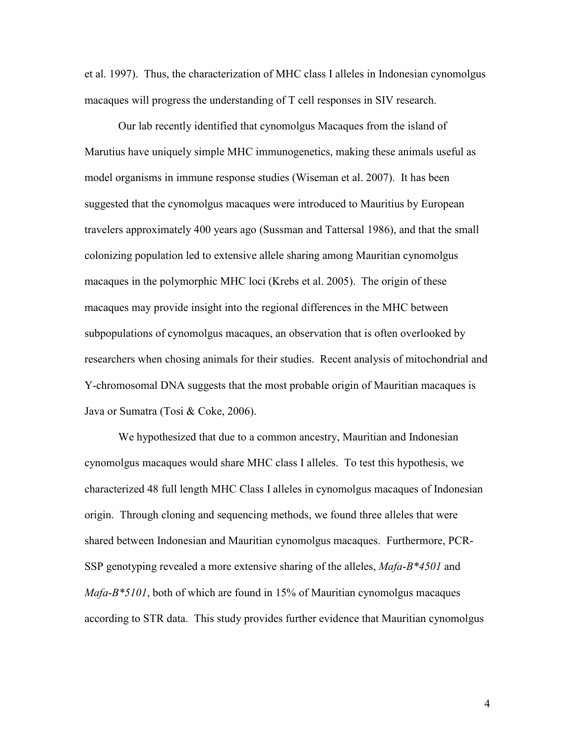et al. 1997). Thus, the characterization of MHC class I alleles in Indonesian cynomolgus macaques will progress the understanding of T cell responses in SIV research.

 Our lab recently identified that cynomolgus Macaques from the island of Marutius have uniquely simple MHC immunogenetics, making these animals useful as model organisms in immune response studies (Wiseman et al. 2007). It has been suggested that the cynomolgus macaques were introduced to Mauritius by European travelers approximately 400 years ago (Sussman and Tattersal 1986), and that the small colonizing population led to extensive allele sharing among Mauritian cynomolgus macaques in the polymorphic MHC loci (Krebs et al. 2005). The origin of these macaques may provide insight into the regional differences in the MHC between subpopulations of cynomolgus macaques, an observation that is often overlooked by researchers when chosing animals for their studies. Recent analysis of mitochondrial and Y-chromosomal DNA suggests that the most probable origin of Mauritian macaques is Java or Sumatra (Tosi & Coke, 2006).

We hypothesized that due to a common ancestry, Mauritian and Indonesian cynomolgus macaques would share MHC class I alleles. To test this hypothesis, we characterized 48 full length MHC Class I alleles in cynomolgus macaques of Indonesian origin. Through cloning and sequencing methods, we found three alleles that were shared between Indonesian and Mauritian cynomolgus macaques. Furthermore, PCR-SSP genotyping revealed a more extensive sharing of the alleles,  $Mafa-B*4501$  and  $Mafa-B*5101$ , both of which are found in 15% of Mauritian cynomolgus macaques according to STR data. This study provides further evidence that Mauritian cynomolgus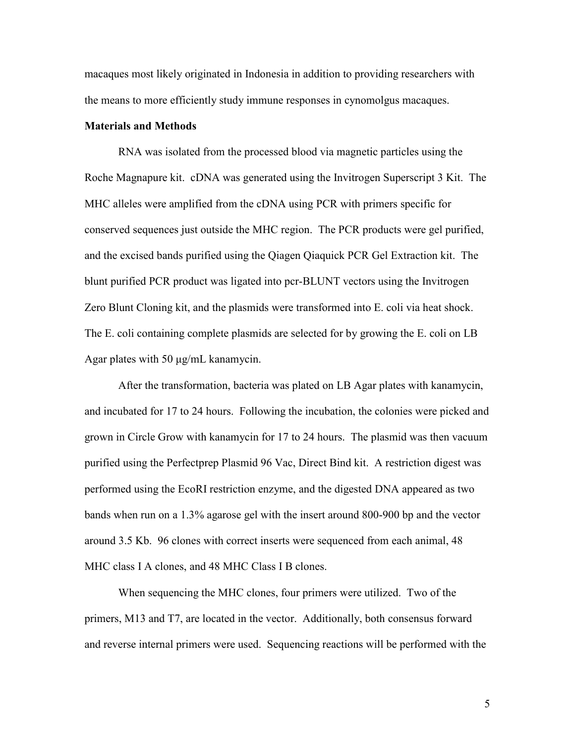macaques most likely originated in Indonesia in addition to providing researchers with the means to more efficiently study immune responses in cynomolgus macaques.

### Materials and Methods

RNA was isolated from the processed blood via magnetic particles using the Roche Magnapure kit. cDNA was generated using the Invitrogen Superscript 3 Kit. The MHC alleles were amplified from the cDNA using PCR with primers specific for conserved sequences just outside the MHC region. The PCR products were gel purified, and the excised bands purified using the Qiagen Qiaquick PCR Gel Extraction kit. The blunt purified PCR product was ligated into pcr-BLUNT vectors using the Invitrogen Zero Blunt Cloning kit, and the plasmids were transformed into E. coli via heat shock. The E. coli containing complete plasmids are selected for by growing the E. coli on LB Agar plates with 50 µg/mL kanamycin.

 After the transformation, bacteria was plated on LB Agar plates with kanamycin, and incubated for 17 to 24 hours. Following the incubation, the colonies were picked and grown in Circle Grow with kanamycin for 17 to 24 hours. The plasmid was then vacuum purified using the Perfectprep Plasmid 96 Vac, Direct Bind kit. A restriction digest was performed using the EcoRI restriction enzyme, and the digested DNA appeared as two bands when run on a 1.3% agarose gel with the insert around 800-900 bp and the vector around 3.5 Kb. 96 clones with correct inserts were sequenced from each animal, 48 MHC class I A clones, and 48 MHC Class I B clones.

 When sequencing the MHC clones, four primers were utilized. Two of the primers, M13 and T7, are located in the vector. Additionally, both consensus forward and reverse internal primers were used. Sequencing reactions will be performed with the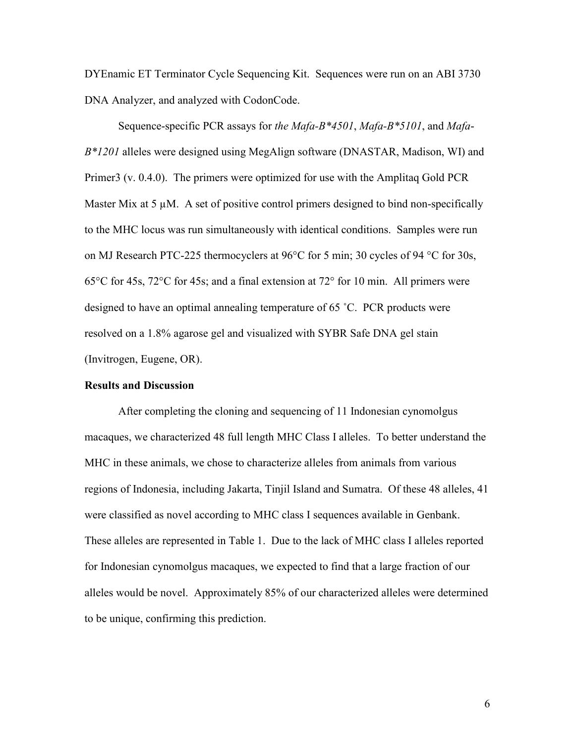DYEnamic ET Terminator Cycle Sequencing Kit. Sequences were run on an ABI 3730 DNA Analyzer, and analyzed with CodonCode.

Sequence-specific PCR assays for the Mafa-B\*4501, Mafa-B\*5101, and Mafa- $B*1201$  alleles were designed using MegAlign software (DNASTAR, Madison, WI) and Primer3 (v. 0.4.0). The primers were optimized for use with the Amplitaq Gold PCR Master Mix at  $5 \mu$ M. A set of positive control primers designed to bind non-specifically to the MHC locus was run simultaneously with identical conditions. Samples were run on MJ Research PTC-225 thermocyclers at 96°C for 5 min; 30 cycles of 94 °C for 30s, 65°C for 45s, 72°C for 45s; and a final extension at 72° for 10 min. All primers were designed to have an optimal annealing temperature of 65 ˚C. PCR products were resolved on a 1.8% agarose gel and visualized with SYBR Safe DNA gel stain (Invitrogen, Eugene, OR).

### Results and Discussion

 After completing the cloning and sequencing of 11 Indonesian cynomolgus macaques, we characterized 48 full length MHC Class I alleles. To better understand the MHC in these animals, we chose to characterize alleles from animals from various regions of Indonesia, including Jakarta, Tinjil Island and Sumatra. Of these 48 alleles, 41 were classified as novel according to MHC class I sequences available in Genbank. These alleles are represented in Table 1. Due to the lack of MHC class I alleles reported for Indonesian cynomolgus macaques, we expected to find that a large fraction of our alleles would be novel. Approximately 85% of our characterized alleles were determined to be unique, confirming this prediction.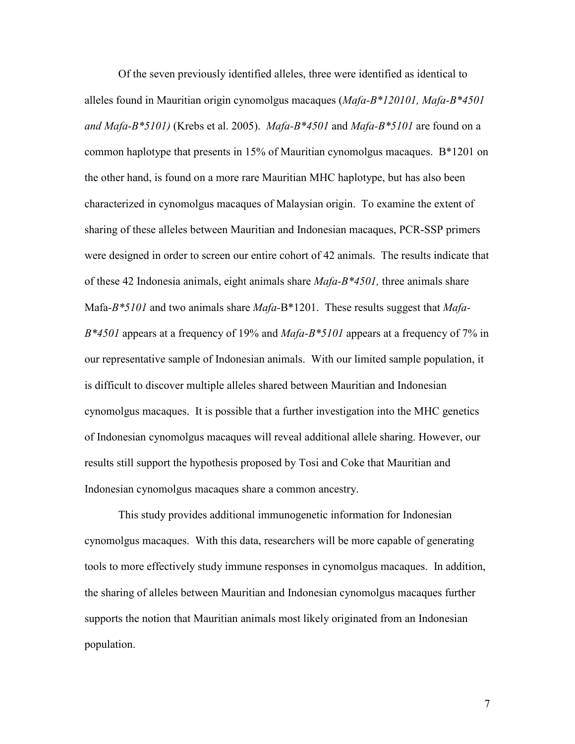Of the seven previously identified alleles, three were identified as identical to alleles found in Mauritian origin cynomolgus macaques (Mafa-B\*120101, Mafa-B\*4501 and Mafa-B\*5101) (Krebs et al. 2005). Mafa-B\*4501 and Mafa-B\*5101 are found on a common haplotype that presents in 15% of Mauritian cynomolgus macaques. B\*1201 on the other hand, is found on a more rare Mauritian MHC haplotype, but has also been characterized in cynomolgus macaques of Malaysian origin. To examine the extent of sharing of these alleles between Mauritian and Indonesian macaques, PCR-SSP primers were designed in order to screen our entire cohort of 42 animals. The results indicate that of these 42 Indonesia animals, eight animals share  $Mafa-B*4501$ , three animals share Mafa- $B*5101$  and two animals share  $Mafa-B*1201$ . These results suggest that  $Mafa B*4501$  appears at a frequency of 19% and Mafa- $B*5101$  appears at a frequency of 7% in our representative sample of Indonesian animals. With our limited sample population, it is difficult to discover multiple alleles shared between Mauritian and Indonesian cynomolgus macaques. It is possible that a further investigation into the MHC genetics of Indonesian cynomolgus macaques will reveal additional allele sharing. However, our results still support the hypothesis proposed by Tosi and Coke that Mauritian and Indonesian cynomolgus macaques share a common ancestry.

 This study provides additional immunogenetic information for Indonesian cynomolgus macaques. With this data, researchers will be more capable of generating tools to more effectively study immune responses in cynomolgus macaques. In addition, the sharing of alleles between Mauritian and Indonesian cynomolgus macaques further supports the notion that Mauritian animals most likely originated from an Indonesian population.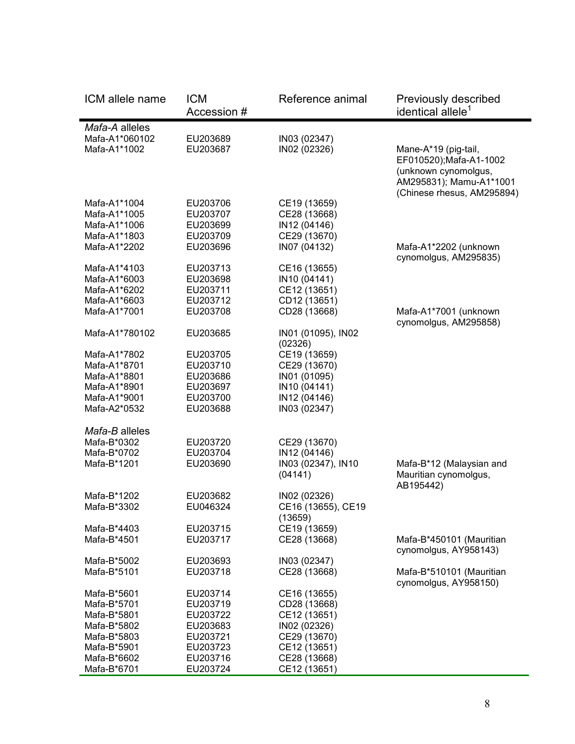| ICM allele name            | <b>ICM</b><br>Accession # | Reference animal             | Previously described<br>identical allele <sup>1</sup> |
|----------------------------|---------------------------|------------------------------|-------------------------------------------------------|
| Mafa-A alleles             |                           |                              |                                                       |
| Mafa-A1*060102             | EU203689                  | IN03 (02347)                 |                                                       |
| Mafa-A1*1002               | EU203687                  | IN02 (02326)                 | Mane-A*19 (pig-tail,                                  |
|                            |                           |                              | EF010520); Mafa-A1-1002                               |
|                            |                           |                              | (unknown cynomolgus,                                  |
|                            |                           |                              | AM295831); Mamu-A1*1001                               |
|                            |                           |                              | (Chinese rhesus, AM295894)                            |
| Mafa-A1*1004               | EU203706                  | CE19 (13659)                 |                                                       |
| Mafa-A1*1005               | EU203707                  | CE28 (13668)                 |                                                       |
| Mafa-A1*1006               | EU203699                  | IN12 (04146)                 |                                                       |
| Mafa-A1*1803               | EU203709                  | CE29 (13670)                 |                                                       |
| Mafa-A1*2202               | EU203696                  | IN07 (04132)                 | Mafa-A1*2202 (unknown                                 |
|                            |                           |                              | cynomolgus, AM295835)                                 |
| Mafa-A1*4103               | EU203713                  | CE16 (13655)                 |                                                       |
| Mafa-A1*6003               | EU203698                  | IN10 (04141)                 |                                                       |
| Mafa-A1*6202               | EU203711                  | CE12 (13651)                 |                                                       |
| Mafa-A1*6603               | EU203712<br>EU203708      | CD12 (13651)                 |                                                       |
| Mafa-A1*7001               |                           | CD28 (13668)                 | Mafa-A1*7001 (unknown<br>cynomolgus, AM295858)        |
| Mafa-A1*780102             | EU203685                  | IN01 (01095), IN02           |                                                       |
|                            |                           | (02326)                      |                                                       |
| Mafa-A1*7802               | EU203705                  | CE19 (13659)                 |                                                       |
| Mafa-A1*8701               | EU203710                  | CE29 (13670)                 |                                                       |
| Mafa-A1*8801               | EU203686                  | IN01 (01095)                 |                                                       |
| Mafa-A1*8901               | EU203697                  | IN10 (04141)                 |                                                       |
| Mafa-A1*9001               | EU203700                  | IN12 (04146)                 |                                                       |
| Mafa-A2*0532               | EU203688                  | IN03 (02347)                 |                                                       |
|                            |                           |                              |                                                       |
| Mafa-B alleles             |                           |                              |                                                       |
| Mafa-B*0302                | EU203720                  | CE29 (13670)                 |                                                       |
| Mafa-B*0702                | EU203704                  | IN12 (04146)                 |                                                       |
| Mafa-B*1201                | EU203690                  | IN03 (02347), IN10           | Mafa-B*12 (Malaysian and                              |
|                            |                           | (04141)                      | Mauritian cynomolgus,                                 |
| Mafa-B*1202                | EU203682                  | IN02 (02326)                 | AB195442)                                             |
| Mafa-B*3302                | EU046324                  | CE16 (13655), CE19           |                                                       |
|                            |                           | (13659)                      |                                                       |
| Mafa-B*4403                | EU203715                  | CE19 (13659)                 |                                                       |
| Mafa-B*4501                | EU203717                  | CE28 (13668)                 | Mafa-B*450101 (Mauritian                              |
|                            |                           |                              | cynomolgus, AY958143)                                 |
| Mafa-B*5002                | EU203693                  | IN03 (02347)                 |                                                       |
| Mafa-B*5101                | EU203718                  | CE28 (13668)                 | Mafa-B*510101 (Mauritian                              |
|                            |                           |                              | cynomolgus, AY958150)                                 |
| Mafa-B*5601                | EU203714                  | CE16 (13655)                 |                                                       |
| Mafa-B*5701                | EU203719                  | CD28 (13668)                 |                                                       |
| Mafa-B*5801                | EU203722                  | CE12 (13651)                 |                                                       |
| Mafa-B*5802                | EU203683                  | IN02 (02326)                 |                                                       |
| Mafa-B*5803                | EU203721                  | CE29 (13670)                 |                                                       |
| Mafa-B*5901                | EU203723                  | CE12 (13651)                 |                                                       |
| Mafa-B*6602<br>Mafa-B*6701 | EU203716<br>EU203724      | CE28 (13668)<br>CE12 (13651) |                                                       |
|                            |                           |                              |                                                       |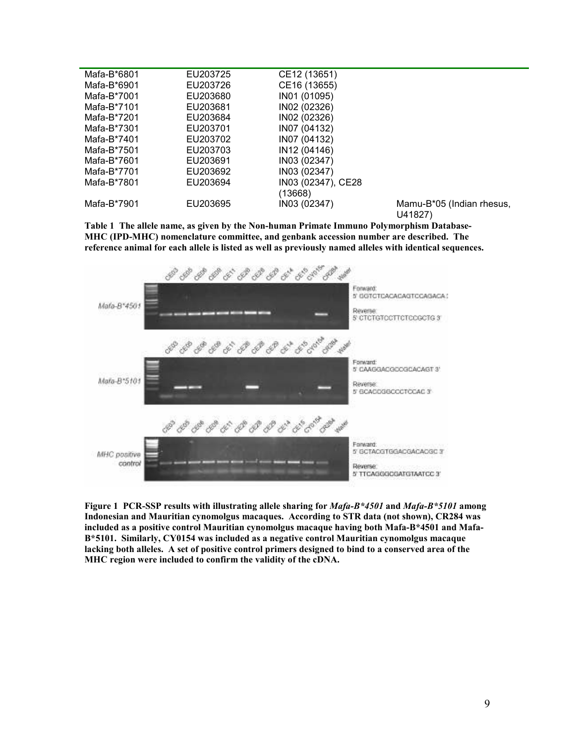| Mafa-B*6801 | EU203725 | CE12 (13651)       |                           |
|-------------|----------|--------------------|---------------------------|
| Mafa-B*6901 | EU203726 | CE16 (13655)       |                           |
| Mafa-B*7001 | EU203680 | IN01 (01095)       |                           |
| Mafa-B*7101 | EU203681 | IN02 (02326)       |                           |
| Mafa-B*7201 | EU203684 | IN02 (02326)       |                           |
| Mafa-B*7301 | EU203701 | IN07 (04132)       |                           |
| Mafa-B*7401 | EU203702 | IN07 (04132)       |                           |
| Mafa-B*7501 | EU203703 | IN12 (04146)       |                           |
| Mafa-B*7601 | EU203691 | IN03 (02347)       |                           |
| Mafa-B*7701 | EU203692 | IN03 (02347)       |                           |
| Mafa-B*7801 | EU203694 | IN03 (02347), CE28 |                           |
|             |          | (13668)            |                           |
| Mafa-B*7901 | EU203695 | IN03 (02347)       | Mamu-B*05 (Indian rhesus, |
|             |          |                    | U41827)                   |

Table 1 The allele name, as given by the Non-human Primate Immuno Polymorphism Database-MHC (IPD-MHC) nomenclature committee, and genbank accession number are described. The reference animal for each allele is listed as well as previously named alleles with identical sequences.



Figure 1 PCR-SSP results with illustrating allele sharing for *Mafa-B\*4501* and *Mafa-B\*5101* among Indonesian and Mauritian cynomolgus macaques. According to STR data (not shown), CR284 was included as a positive control Mauritian cynomolgus macaque having both Mafa-B\*4501 and Mafa-B\*5101. Similarly, CY0154 was included as a negative control Mauritian cynomolgus macaque lacking both alleles. A set of positive control primers designed to bind to a conserved area of the MHC region were included to confirm the validity of the cDNA.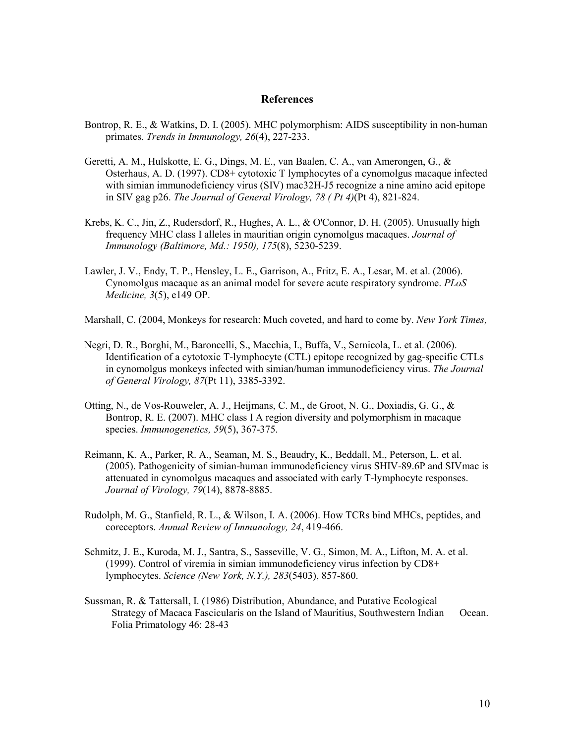#### References

- Bontrop, R. E., & Watkins, D. I. (2005). MHC polymorphism: AIDS susceptibility in non-human primates. Trends in Immunology, 26(4), 227-233.
- Geretti, A. M., Hulskotte, E. G., Dings, M. E., van Baalen, C. A., van Amerongen, G., & Osterhaus, A. D. (1997). CD8+ cytotoxic T lymphocytes of a cynomolgus macaque infected with simian immunodeficiency virus (SIV) mac32H-J5 recognize a nine amino acid epitope in SIV gag p26. The Journal of General Virology, 78 ( Pt 4)(Pt 4), 821-824.
- Krebs, K. C., Jin, Z., Rudersdorf, R., Hughes, A. L., & O'Connor, D. H. (2005). Unusually high frequency MHC class I alleles in mauritian origin cynomolgus macaques. Journal of Immunology (Baltimore, Md.: 1950), 175(8), 5230-5239.
- Lawler, J. V., Endy, T. P., Hensley, L. E., Garrison, A., Fritz, E. A., Lesar, M. et al. (2006). Cynomolgus macaque as an animal model for severe acute respiratory syndrome. PLoS Medicine, 3(5), e149 OP.
- Marshall, C. (2004, Monkeys for research: Much coveted, and hard to come by. New York Times,
- Negri, D. R., Borghi, M., Baroncelli, S., Macchia, I., Buffa, V., Sernicola, L. et al. (2006). Identification of a cytotoxic T-lymphocyte (CTL) epitope recognized by gag-specific CTLs in cynomolgus monkeys infected with simian/human immunodeficiency virus. The Journal of General Virology, 87(Pt 11), 3385-3392.
- Otting, N., de Vos-Rouweler, A. J., Heijmans, C. M., de Groot, N. G., Doxiadis, G. G., & Bontrop, R. E. (2007). MHC class I A region diversity and polymorphism in macaque species. Immunogenetics, 59(5), 367-375.
- Reimann, K. A., Parker, R. A., Seaman, M. S., Beaudry, K., Beddall, M., Peterson, L. et al. (2005). Pathogenicity of simian-human immunodeficiency virus SHIV-89.6P and SIVmac is attenuated in cynomolgus macaques and associated with early T-lymphocyte responses. Journal of Virology, 79(14), 8878-8885.
- Rudolph, M. G., Stanfield, R. L., & Wilson, I. A. (2006). How TCRs bind MHCs, peptides, and coreceptors. Annual Review of Immunology, 24, 419-466.
- Schmitz, J. E., Kuroda, M. J., Santra, S., Sasseville, V. G., Simon, M. A., Lifton, M. A. et al. (1999). Control of viremia in simian immunodeficiency virus infection by CD8+ lymphocytes. Science (New York, N.Y.), 283(5403), 857-860.
- Sussman, R. & Tattersall, I. (1986) Distribution, Abundance, and Putative Ecological Strategy of Macaca Fascicularis on the Island of Mauritius, Southwestern Indian Ocean. Folia Primatology 46: 28-43